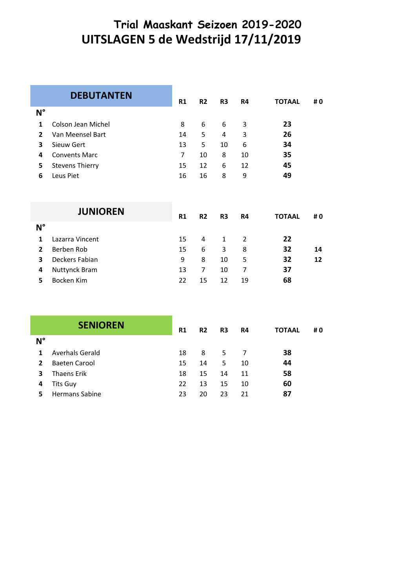# **Trial Maaskant Seizoen 2019-2020 UITSLAGEN 5 de Wedstrijd 17/11/2019**

|             | <b>DEBUTANTEN</b>      | <b>R1</b> | <b>R2</b> | R3 | R4 | <b>TOTAAL</b> | #0 |
|-------------|------------------------|-----------|-----------|----|----|---------------|----|
| $N^{\circ}$ |                        |           |           |    |    |               |    |
| 1           | Colson Jean Michel     | 8         | 6         | 6  | 3  | 23            |    |
| 2           | Van Meensel Bart       | 14        | 5.        | 4  | 3  | 26            |    |
| 3           | Sieuw Gert             | 13        | 5         | 10 | 6  | 34            |    |
| 4           | <b>Convents Marc</b>   | 7         | 10        | 8  | 10 | 35            |    |
| 5           | <b>Stevens Thierry</b> | 15        | 12        | 6  | 12 | 45            |    |
| 6           | Leus Piet              | 16        | 16        | 8  | 9  | 49            |    |
|             |                        |           |           |    |    |               |    |

|             | <b>JUNIOREN</b>      | R <sub>1</sub> | R <sub>2</sub> | R3 | R4 | <b>TOTAAL</b> | #0 |
|-------------|----------------------|----------------|----------------|----|----|---------------|----|
| $N^{\circ}$ |                      |                |                |    |    |               |    |
| 1           | Lazarra Vincent      | 15             | 4              | 1  | 2  | 22            |    |
| 2           | Berben Rob           | 15             | 6              | 3  | 8  | 32            | 14 |
| 3           | Deckers Fabian       | 9              | 8              | 10 | 5  | 32            | 12 |
| 4           | <b>Nuttynck Bram</b> | 13             | 7              | 10 | 7  | 37            |    |
| 5.          | Bocken Kim           | 22             | 15             | 12 | 19 | 68            |    |

| <b>SENIOREN</b> |                       | R1 | R <sub>2</sub> | R3 | R4 | <b>TOTAAL</b> | #0 |
|-----------------|-----------------------|----|----------------|----|----|---------------|----|
| $N^{\circ}$     |                       |    |                |    |    |               |    |
| 1               | Averhals Gerald       | 18 | 8              | 5. |    | 38            |    |
| 2               | Baeten Carool         | 15 | 14             | 5  | 10 | 44            |    |
| 3               | <b>Thaens Erik</b>    | 18 | 15             | 14 | 11 | 58            |    |
| 4               | Tits Guy              | 22 | 13             | 15 | 10 | 60            |    |
| 5               | <b>Hermans Sabine</b> | 23 | 20             | 23 | 21 | 87            |    |